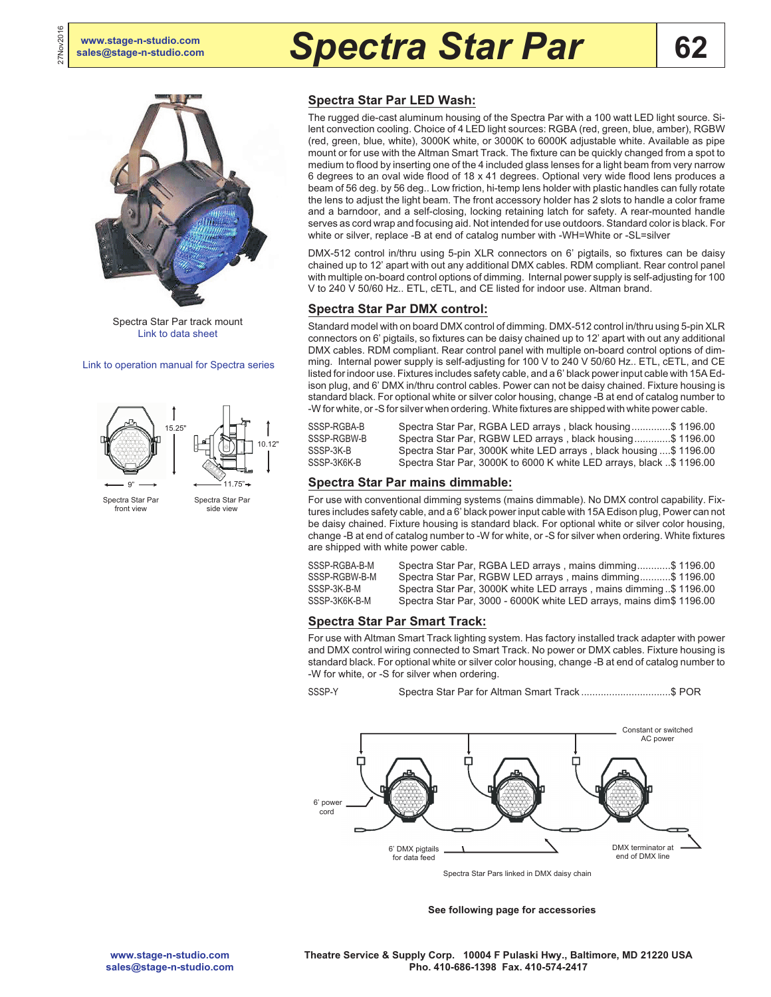27Nov2016

# **[sales@stage-n-studio.com](mailto:sales@stage-n-studio.com)** *Spectra Star Par*



Spectra Star Par track mount [Link to data sheet](http://altmanlighting.com/wp-content/uploads/2016/04/SpectraStarPar.pdf)

[Link to operation manual for Spectra series](http://altmanlighting.com/wp-content/uploads/2016/04/AltmanSpectraSeriesProgrammingManual.pdf)



front view

side view

### **Spectra Star Par LED Wash:**

The rugged die-cast aluminum housing of the Spectra Par with a 100 watt LED light source. Silent convection cooling. Choice of 4 LED light sources: RGBA (red, green, blue, amber), RGBW (red, green, blue, white), 3000K white, or 3000K to 6000K adjustable white. Available as pipe mount or for use with the Altman Smart Track. The fixture can be quickly changed from a spot to medium to flood by inserting one of the 4 included glass lenses for a light beam from very narrow 6 degrees to an oval wide flood of 18 x 41 degrees. Optional very wide flood lens produces a beam of 56 deg. by 56 deg.. Low friction, hi-temp lens holder with plastic handles can fully rotate the lens to adjust the light beam. The front accessory holder has 2 slots to handle a color frame and a barndoor, and a self-closing, locking retaining latch for safety. A rear-mounted handle serves as cord wrap and focusing aid. Not intended for use outdoors. Standard color is black. For white or silver, replace -B at end of catalog number with -WH=White or -SL=silver

DMX-512 control in/thru using 5-pin XLR connectors on 6' pigtails, so fixtures can be daisy chained up to 12' apart with out any additional DMX cables. RDM compliant. Rear control panel with multiple on-board control options of dimming. Internal power supply is self-adjusting for 100 V to 240 V 50/60 Hz.. ETL, cETL, and CE listed for indoor use. Altman brand.

#### **Spectra Star Par DMX control:**

Standard model with on board DMX control of dimming. DMX-512 control in/thru using 5-pin XLR connectors on 6' pigtails, so fixtures can be daisy chained up to 12' apart with out any additional DMX cables. RDM compliant. Rear control panel with multiple on-board control options of dimming. Internal power supply is self-adjusting for 100 V to 240 V 50/60 Hz.. ETL, cETL, and CE listed for indoor use. Fixtures includes safety cable, and a 6' black power input cable with 15A Edison plug, and 6' DMX in/thru control cables. Power can not be daisy chained. Fixture housing is standard black. For optional white or silver color housing, change -B at end of catalog number to -W for white, or -S for silver when ordering. White fixtures are shipped with white power cable.

| SSSP-RGBA-B | Spectra Star Par, RGBA LED arrays, black housing\$ 1196.00           |
|-------------|----------------------------------------------------------------------|
| SSSP-RGBW-B | Spectra Star Par, RGBW LED arrays, black housing\$ 1196.00           |
| SSSP-3K-B   | Spectra Star Par, 3000K white LED arrays, black housing \$ 1196.00   |
| SSSP-3K6K-B | Spectra Star Par, 3000K to 6000 K white LED arrays, black \$ 1196.00 |

#### **Spectra Star Par mains dimmable:**

For use with conventional dimming systems (mains dimmable). No DMX control capability. Fixtures includes safety cable, and a 6' black power input cable with 15A Edison plug, Power can not be daisy chained. Fixture housing is standard black. For optional white or silver color housing, change -B at end of catalog number to -W for white, or -S for silver when ordering. White fixtures are shipped with white power cable.

| SSSP-RGBA-B-M | Spectra Star Par, RGBA LED arrays, mains dimming\$ 1196.00           |
|---------------|----------------------------------------------------------------------|
| SSSP-RGBW-B-M | Spectra Star Par, RGBW LED arrays, mains dimming\$ 1196.00           |
| SSSP-3K-B-M   | Spectra Star Par, 3000K white LED arrays, mains dimming \$ 1196.00   |
| SSSP-3K6K-B-M | Spectra Star Par, 3000 - 6000K white LED arrays, mains dim\$ 1196.00 |

#### **Spectra Star Par Smart Track:**

For use with Altman Smart Track lighting system. Has factory installed track adapter with power and DMX control wiring connected to Smart Track. No power or DMX cables. Fixture housing is standard black. For optional white or silver color housing, change -B at end of catalog number to -W for white, or -S for silver when ordering.



**See following page for accessories**